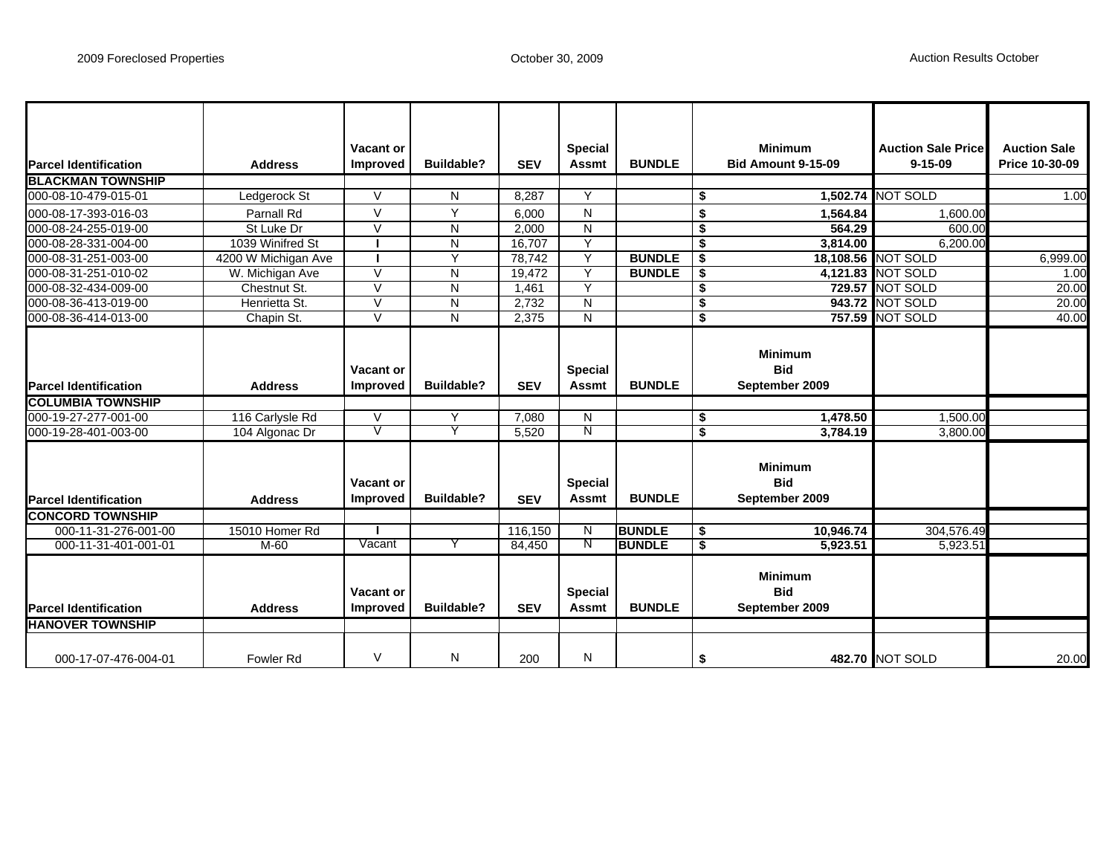| <b>Parcel Identification</b>                            | <b>Address</b>      | <b>Vacant or</b><br>Improved        | <b>Buildable?</b>       | <b>SEV</b> | <b>Special</b><br>Assmt        | <b>BUNDLE</b> |                                      | <b>Minimum</b><br><b>Bid Amount 9-15-09</b>    | <b>Auction Sale Price</b><br>$9 - 15 - 09$ | <b>Auction Sale</b><br>Price 10-30-09 |
|---------------------------------------------------------|---------------------|-------------------------------------|-------------------------|------------|--------------------------------|---------------|--------------------------------------|------------------------------------------------|--------------------------------------------|---------------------------------------|
| <b>BLACKMAN TOWNSHIP</b>                                |                     |                                     |                         |            |                                |               |                                      |                                                |                                            |                                       |
| 000-08-10-479-015-01                                    | Ledgerock St        | $\vee$                              | N                       | 8,287      | Y                              |               | \$                                   |                                                | 1,502.74 NOT SOLD                          | 1.00                                  |
| 000-08-17-393-016-03                                    | Parnall Rd          | $\vee$                              | Y                       | 6,000      | N                              |               | \$                                   | 1,564.84                                       | 1,600.00                                   |                                       |
| 000-08-24-255-019-00                                    | St Luke Dr          | $\vee$                              | N                       | 2,000      | ${\sf N}$                      |               | \$                                   | 564.29                                         | 600.00                                     |                                       |
| 000-08-28-331-004-00                                    | 1039 Winifred St    |                                     | ${\sf N}$               | 16,707     | Ÿ                              |               | \$                                   | 3,814.00                                       | 6,200.00                                   |                                       |
| 000-08-31-251-003-00                                    | 4200 W Michigan Ave |                                     | Y                       | 78,742     | Y                              | <b>BUNDLE</b> | \$                                   |                                                | 18,108.56 NOT SOLD                         | 6,999.00                              |
| 000-08-31-251-010-02                                    | W. Michigan Ave     | $\vee$                              | N                       | 19.472     | Y                              | <b>BUNDLE</b> | \$                                   |                                                | 4,121.83 NOT SOLD                          | 1.00                                  |
| 000-08-32-434-009-00                                    | Chestnut St.        | $\overline{V}$                      | $\overline{\mathsf{N}}$ | 1,461      | $\overline{Y}$                 |               | $\overline{\boldsymbol{\mathsf{s}}}$ | 729.57                                         | NOT SOLD                                   | 20.00                                 |
| 000-08-36-413-019-00                                    | Henrietta St.       | $\overline{V}$                      | ${\sf N}$               | 2,732      | N                              |               | \$                                   |                                                | 943.72 NOT SOLD                            | 20.00                                 |
| 000-08-36-414-013-00                                    | Chapin St.          | $\vee$                              | N                       | 2,375      | N                              |               | \$                                   |                                                | <b>757.59 NOT SOLD</b>                     | 40.00                                 |
| <b>Parcel Identification</b>                            | <b>Address</b>      | Vacant or<br><b>Improved</b>        | <b>Buildable?</b>       | <b>SEV</b> | <b>Special</b><br><b>Assmt</b> | <b>BUNDLE</b> |                                      | <b>Minimum</b><br><b>Bid</b><br>September 2009 |                                            |                                       |
| <b>COLUMBIA TOWNSHIP</b>                                |                     |                                     |                         |            |                                |               |                                      |                                                |                                            |                                       |
| 000-19-27-277-001-00                                    | 116 Carlysle Rd     | $\vee$                              | Υ                       | 7,080      | N                              |               | \$                                   | 1,478.50                                       | 1,500.00                                   |                                       |
| 000-19-28-401-003-00                                    | 104 Algonac Dr      | V                                   | Y                       | 5,520      | N                              |               | $\overline{\mathbf{3}}$              | 3,784.19                                       | 3,800.00                                   |                                       |
| <b>Parcel Identification</b>                            | <b>Address</b>      | Vacant or<br><b>Improved</b>        | <b>Buildable?</b>       | <b>SEV</b> | <b>Special</b><br><b>Assmt</b> | <b>BUNDLE</b> |                                      | <b>Minimum</b><br><b>Bid</b><br>September 2009 |                                            |                                       |
| <b>CONCORD TOWNSHIP</b>                                 |                     |                                     |                         |            |                                |               |                                      |                                                |                                            |                                       |
| 000-11-31-276-001-00                                    | 15010 Homer Rd      |                                     |                         | 116,150    | N                              | <b>BUNDLE</b> | \$                                   | 10,946.74                                      | 304,576.49                                 |                                       |
| 000-11-31-401-001-01                                    | $M-60$              | Vacant                              | Y                       | 84,450     | N                              | <b>BUNDLE</b> | s.                                   | 5,923.51                                       | 5,923.51                                   |                                       |
| <b>Parcel Identification</b><br><b>HANOVER TOWNSHIP</b> | <b>Address</b>      | <b>Vacant or</b><br><b>Improved</b> | <b>Buildable?</b>       | <b>SEV</b> | <b>Special</b><br><b>Assmt</b> | <b>BUNDLE</b> |                                      | <b>Minimum</b><br><b>Bid</b><br>September 2009 |                                            |                                       |
|                                                         |                     |                                     |                         |            |                                |               |                                      |                                                |                                            |                                       |
| 000-17-07-476-004-01                                    | <b>Fowler Rd</b>    | V                                   | N                       | 200        | N                              |               | \$                                   |                                                | 482.70 NOT SOLD                            | 20.00                                 |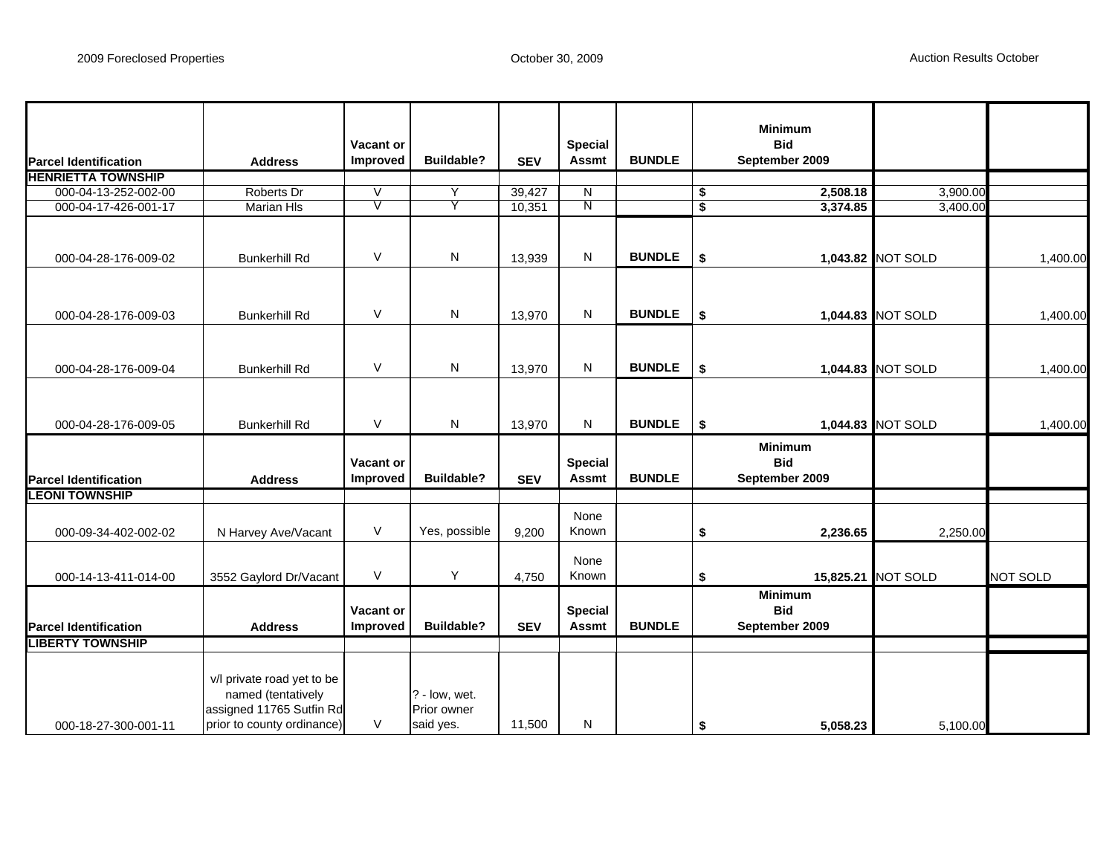|                              |                                                                                                            |                              |                                           |            |                                |               |                             | <b>Minimum</b>                                 |                   |                 |
|------------------------------|------------------------------------------------------------------------------------------------------------|------------------------------|-------------------------------------------|------------|--------------------------------|---------------|-----------------------------|------------------------------------------------|-------------------|-----------------|
| <b>Parcel Identification</b> | <b>Address</b>                                                                                             | <b>Vacant or</b><br>Improved | <b>Buildable?</b>                         | <b>SEV</b> | <b>Special</b><br><b>Assmt</b> | <b>BUNDLE</b> |                             | <b>Bid</b><br>September 2009                   |                   |                 |
| <b>HENRIETTA TOWNSHIP</b>    |                                                                                                            |                              |                                           |            |                                |               |                             |                                                |                   |                 |
| 000-04-13-252-002-00         | Roberts Dr                                                                                                 | $\vee$                       | Y                                         | 39,427     | N                              |               | \$                          | 2,508.18                                       | 3,900.00          |                 |
| 000-04-17-426-001-17         | <b>Marian HIs</b>                                                                                          | $\mathbf V$                  | Y                                         | 10,351     | Ν                              |               | $\overline{\boldsymbol{s}}$ | 3,374.85                                       | 3,400.00          |                 |
|                              |                                                                                                            |                              |                                           |            |                                |               |                             |                                                |                   |                 |
| 000-04-28-176-009-02         | <b>Bunkerhill Rd</b>                                                                                       | $\vee$                       | ${\sf N}$                                 | 13,939     | N                              | <b>BUNDLE</b> | \$                          |                                                | 1,043.82 NOT SOLD | 1,400.00        |
|                              |                                                                                                            |                              |                                           |            |                                |               |                             |                                                |                   |                 |
| 000-04-28-176-009-03         | <b>Bunkerhill Rd</b>                                                                                       | $\vee$                       | N                                         | 13,970     | N                              | <b>BUNDLE</b> | \$                          |                                                | 1,044.83 NOT SOLD | 1,400.00        |
| 000-04-28-176-009-04         | <b>Bunkerhill Rd</b>                                                                                       | V                            | N                                         | 13,970     | Ν                              | <b>BUNDLE</b> | \$                          |                                                | 1,044.83 NOT SOLD | 1,400.00        |
|                              |                                                                                                            |                              |                                           |            |                                |               |                             |                                                |                   |                 |
|                              |                                                                                                            | $\vee$                       | N                                         |            | N                              | <b>BUNDLE</b> |                             |                                                |                   |                 |
| 000-04-28-176-009-05         | <b>Bunkerhill Rd</b>                                                                                       |                              |                                           | 13,970     |                                |               | \$                          |                                                | 1,044.83 NOT SOLD | 1,400.00        |
| <b>Parcel Identification</b> | <b>Address</b>                                                                                             | Vacant or<br>Improved        | <b>Buildable?</b>                         | <b>SEV</b> | <b>Special</b><br><b>Assmt</b> | <b>BUNDLE</b> |                             | <b>Minimum</b><br><b>Bid</b><br>September 2009 |                   |                 |
| <b>LEONI TOWNSHIP</b>        |                                                                                                            |                              |                                           |            |                                |               |                             |                                                |                   |                 |
| 000-09-34-402-002-02         | N Harvey Ave/Vacant                                                                                        | V                            | Yes, possible                             | 9,200      | None<br>Known                  |               | \$                          | 2,236.65                                       | 2,250.00          |                 |
| 000-14-13-411-014-00         | 3552 Gaylord Dr/Vacant                                                                                     | $\vee$                       | Υ                                         | 4,750      | None<br>Known                  |               | \$                          | 15,825.21                                      | <b>NOT SOLD</b>   | <b>NOT SOLD</b> |
| <b>Parcel Identification</b> | <b>Address</b>                                                                                             | Vacant or<br>Improved        | <b>Buildable?</b>                         | <b>SEV</b> | <b>Special</b><br><b>Assmt</b> | <b>BUNDLE</b> |                             | <b>Minimum</b><br><b>Bid</b><br>September 2009 |                   |                 |
| <b>IBERTY TOWNSHIP</b>       |                                                                                                            |                              |                                           |            |                                |               |                             |                                                |                   |                 |
| 000-18-27-300-001-11         | v/l private road yet to be<br>named (tentatively<br>assigned 11765 Sutfin Rd<br>prior to county ordinance) | $\vee$                       | ? - low, wet.<br>Prior owner<br>said yes. | 11,500     | N                              |               | \$                          | 5,058.23                                       | 5,100.00          |                 |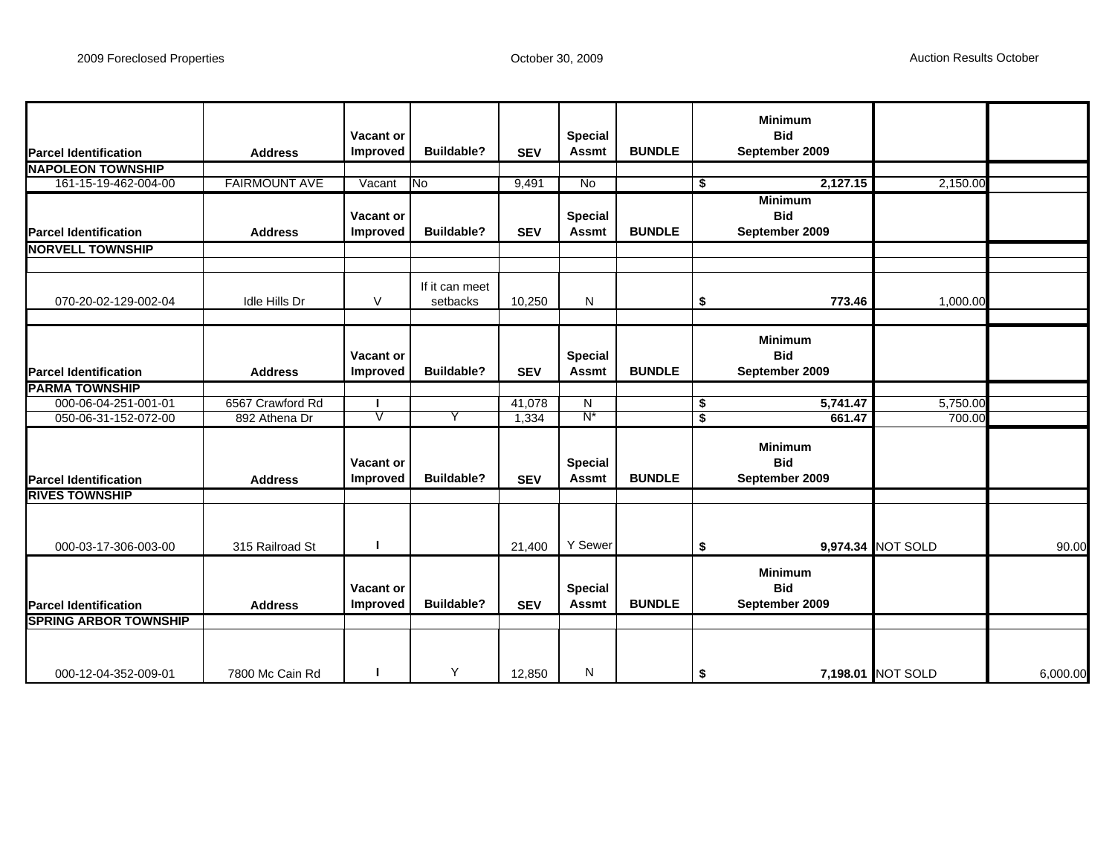| <b>Parcel Identification</b> | <b>Address</b>       | Vacant or<br><b>Improved</b>        | <b>Buildable?</b>          | <b>SEV</b> | <b>Special</b><br><b>Assmt</b> | <b>BUNDLE</b> | <b>Minimum</b><br><b>Bid</b><br>September 2009 |                   |          |
|------------------------------|----------------------|-------------------------------------|----------------------------|------------|--------------------------------|---------------|------------------------------------------------|-------------------|----------|
| <b>NAPOLEON TOWNSHIP</b>     |                      |                                     |                            |            |                                |               |                                                |                   |          |
| 161-15-19-462-004-00         | <b>FAIRMOUNT AVE</b> | Vacant                              | $\overline{N}$             | 9,491      | No                             |               | 2,127.15<br>\$                                 | 2,150.00          |          |
| <b>Parcel Identification</b> | <b>Address</b>       | Vacant or<br>Improved               | <b>Buildable?</b>          | <b>SEV</b> | <b>Special</b><br><b>Assmt</b> | <b>BUNDLE</b> | <b>Minimum</b><br><b>Bid</b><br>September 2009 |                   |          |
| <b>NORVELL TOWNSHIP</b>      |                      |                                     |                            |            |                                |               |                                                |                   |          |
|                              |                      |                                     |                            |            |                                |               |                                                |                   |          |
| 070-20-02-129-002-04         | Idle Hills Dr        | V                                   | If it can meet<br>setbacks | 10,250     | N                              |               | 773.46<br>\$                                   | 1,000.00          |          |
| <b>Parcel Identification</b> | <b>Address</b>       | <b>Vacant or</b><br><b>Improved</b> | <b>Buildable?</b>          | <b>SEV</b> | <b>Special</b><br><b>Assmt</b> | <b>BUNDLE</b> | <b>Minimum</b><br><b>Bid</b><br>September 2009 |                   |          |
| <b>PARMA TOWNSHIP</b>        |                      |                                     |                            |            |                                |               |                                                |                   |          |
| 000-06-04-251-001-01         | 6567 Crawford Rd     |                                     |                            | 41,078     | N                              |               | \$<br>5,741.47                                 | 5,750.00          |          |
| 050-06-31-152-072-00         | 892 Athena Dr        | V                                   | Υ                          | 1,334      | $N^*$                          |               | 661.47<br>\$                                   | 700.00            |          |
| <b>Parcel Identification</b> | <b>Address</b>       | Vacant or<br><b>Improved</b>        | <b>Buildable?</b>          | <b>SEV</b> | <b>Special</b><br><b>Assmt</b> | <b>BUNDLE</b> | <b>Minimum</b><br><b>Bid</b><br>September 2009 |                   |          |
| <b>RIVES TOWNSHIP</b>        |                      |                                     |                            |            |                                |               |                                                |                   |          |
| 000-03-17-306-003-00         | 315 Railroad St      |                                     |                            | 21,400     | Y Sewer                        |               | \$                                             | 9,974.34 NOT SOLD | 90.00    |
| <b>Parcel Identification</b> | <b>Address</b>       | Vacant or<br><b>Improved</b>        | <b>Buildable?</b>          | <b>SEV</b> | <b>Special</b><br><b>Assmt</b> | <b>BUNDLE</b> | <b>Minimum</b><br><b>Bid</b><br>September 2009 |                   |          |
| <b>SPRING ARBOR TOWNSHIP</b> |                      |                                     |                            |            |                                |               |                                                |                   |          |
| 000-12-04-352-009-01         | 7800 Mc Cain Rd      |                                     | Y                          | 12,850     | N                              |               | \$                                             | 7,198.01 NOT SOLD | 6,000.00 |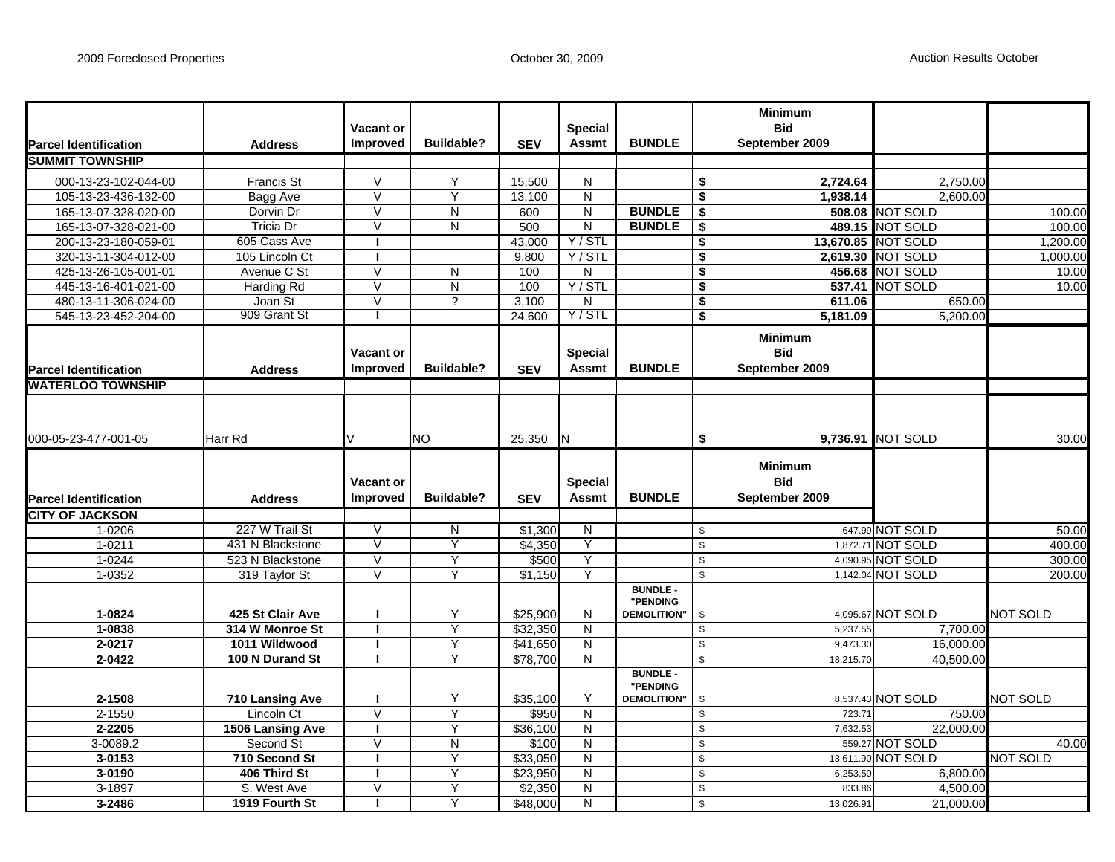| <b>Parcel Identification</b>  | <b>Address</b>                | <b>Vacant or</b><br><b>Improved</b> | <b>Buildable?</b> | <b>SEV</b>        | <b>Special</b><br><b>Assmt</b> | <b>BUNDLE</b>                                     |                     | <b>Minimum</b><br><b>Bid</b><br>September 2009 |                           |                 |
|-------------------------------|-------------------------------|-------------------------------------|-------------------|-------------------|--------------------------------|---------------------------------------------------|---------------------|------------------------------------------------|---------------------------|-----------------|
| <b>SUMMIT TOWNSHIP</b>        |                               |                                     |                   |                   |                                |                                                   |                     |                                                |                           |                 |
| 000-13-23-102-044-00          | <b>Francis St</b>             | V                                   | Y                 | 15,500            | N                              |                                                   | \$                  | 2,724.64                                       | 2,750.00                  |                 |
| 105-13-23-436-132-00          | Bagg Ave                      | $\overline{\vee}$                   | Y                 | 13,100            | N                              |                                                   | \$                  | 1,938.14                                       | 2,600.00                  |                 |
| 165-13-07-328-020-00          | Dorvin Dr                     | $\overline{V}$                      | N                 | 600               | N                              | <b>BUNDLE</b>                                     | \$                  |                                                | <b>508.08 NOT SOLD</b>    | 100.00          |
| 165-13-07-328-021-00          | Tricia Dr                     | $\vee$                              | Ν                 | 500               | N                              | <b>BUNDLE</b>                                     | \$                  |                                                | 489.15 NOT SOLD           | 100.00          |
| 200-13-23-180-059-01          | 605 Cass Ave                  |                                     |                   | 43,000            | Y / STL                        |                                                   | \$                  |                                                | 13,670.85 NOT SOLD        | 1,200.00        |
| 320-13-11-304-012-00          | 105 Lincoln Ct                |                                     |                   | 9,800             | Y/STL                          |                                                   | \$                  |                                                | 2,619.30 NOT SOLD         | 1,000.00        |
| 425-13-26-105-001-01          | Avenue C St                   | $\overline{\mathsf{v}}$             | N                 | 100               | N                              |                                                   | \$                  |                                                | 456.68 NOT SOLD           | 10.00           |
| 445-13-16-401-021-00          | <b>Harding Rd</b>             | $\vee$                              | ${\sf N}$         | 100               | Y / STL                        |                                                   | \$                  |                                                | <b>537.41 NOT SOLD</b>    | 10.00           |
| 480-13-11-306-024-00          | Joan St                       | $\vee$                              | ?                 | 3,100             | N                              |                                                   | \$                  | 611.06                                         | 650.00                    |                 |
| 545-13-23-452-204-00          | 909 Grant St                  |                                     |                   | 24,600            | Y/STL                          |                                                   | \$                  | 5,181.09                                       | 5,200.00                  |                 |
| <b>IParcel Identification</b> | <b>Address</b>                | <b>Vacant or</b><br><b>Improved</b> | <b>Buildable?</b> | <b>SEV</b>        | <b>Special</b><br><b>Assmt</b> | <b>BUNDLE</b>                                     |                     | <b>Minimum</b><br><b>Bid</b><br>September 2009 |                           |                 |
| <b>IWATERLOO TOWNSHIP</b>     |                               |                                     |                   |                   |                                |                                                   |                     |                                                |                           |                 |
| 000-05-23-477-001-05          | Harr Rd                       | V                                   | NO.               | 25,350            | IN.                            |                                                   | \$                  | <b>Minimum</b>                                 | 9.736.91 <b>INOT SOLD</b> | 30.00           |
| <b>IParcel Identification</b> | <b>Address</b>                | <b>Vacant or</b><br><b>Improved</b> | <b>Buildable?</b> | <b>SEV</b>        | <b>Special</b><br><b>Assmt</b> | <b>BUNDLE</b>                                     |                     | <b>Bid</b><br>September 2009                   |                           |                 |
| <b>CITY OF JACKSON</b>        |                               |                                     |                   |                   |                                |                                                   |                     |                                                |                           |                 |
| 1-0206                        | 227 W Trail St                | $\overline{\vee}$                   | N                 | \$1,300           | N                              |                                                   | \$                  |                                                | 647.99 NOT SOLD           | 50.00           |
| 1-0211                        | 431 N Blackstone              | $\overline{\mathsf{v}}$             | Y                 | \$4,350           | Y                              |                                                   | $\mathfrak s$       |                                                | 1,872.71 NOT SOLD         | 400.00          |
| 1-0244                        | 523 N Blackstone              | $\vee$                              | Y                 | \$500             | Y                              |                                                   | \$                  |                                                | 4,090.95 NOT SOLD         | 300.00          |
| 1-0352                        | 319 Taylor St                 | V                                   | Y                 | \$1,150           | Y                              |                                                   | $\mathfrak s$       |                                                | 1,142.04 NOT SOLD         | 200.00          |
| 1-0824                        | 425 St Clair Ave              | ш                                   | Y                 | \$25,900          | N                              | <b>BUNDLE -</b><br>"PENDING<br><b>DEMOLITION"</b> | \$                  |                                                | 4,095.67 NOT SOLD         | <b>NOT SOLD</b> |
| 1-0838                        | 314 W Monroe St               |                                     | Y                 | \$32,350          | N                              |                                                   | $\mathfrak s$       | 5,237.55                                       | 7.700.00                  |                 |
| $2 - 0217$                    | 1011 Wildwood                 |                                     | Y                 | \$41,650          | $\overline{\mathsf{N}}$        |                                                   | \$                  | 9,473.30                                       | 16,000.00                 |                 |
| $2 - 0422$                    | 100 N Durand St               |                                     | Y                 | \$78,700          | N                              |                                                   | $\mathbb{S}$        | 18,215.70                                      | 40,500.00                 |                 |
| 2-1508<br>$2 - 1550$          | 710 Lansing Ave<br>Lincoln Ct | $\vee$                              | Y<br>Υ            | \$35,100<br>\$950 | Y<br>N                         | <b>BUNDLE-</b><br>"PENDING<br><b>DEMOLITION"</b>  | \$<br>$\mathfrak s$ | 723.71                                         | 8,537.43 NOT SOLD         | <b>NOT SOLD</b> |
| 2-2205                        |                               |                                     | Y                 | \$36,100          | N                              |                                                   | \$                  | 7,632.53                                       | 750.00<br>22,000.00       |                 |
| 3-0089.2                      | 1506 Lansing Ave<br>Second St | $\vee$                              | ${\sf N}$         | \$100             | ${\sf N}$                      |                                                   | $\sqrt[6]{2}$       |                                                | 559.27 NOT SOLD           | 40.00           |
| 3-0153                        | 710 Second St                 |                                     | Y                 | \$33,050          | N                              |                                                   | \$                  |                                                | 13,611.90 NOT SOLD        | <b>NOT SOLD</b> |
| 3-0190                        | 406 Third St                  |                                     | Y                 | \$23,950          | $\overline{\mathsf{N}}$        |                                                   | \$                  | 6,253.50                                       | 6,800.00                  |                 |
| 3-1897                        | S. West Ave                   | $\vee$                              | Υ                 | \$2,350           | ${\sf N}$                      |                                                   | \$                  | 833.86                                         | 4,500.00                  |                 |
| 3-2486                        | 1919 Fourth St                |                                     | Υ                 | \$48,000          | N                              |                                                   | $\mathbb{S}$        | 13,026.91                                      | 21,000.00                 |                 |
|                               |                               |                                     |                   |                   |                                |                                                   |                     |                                                |                           |                 |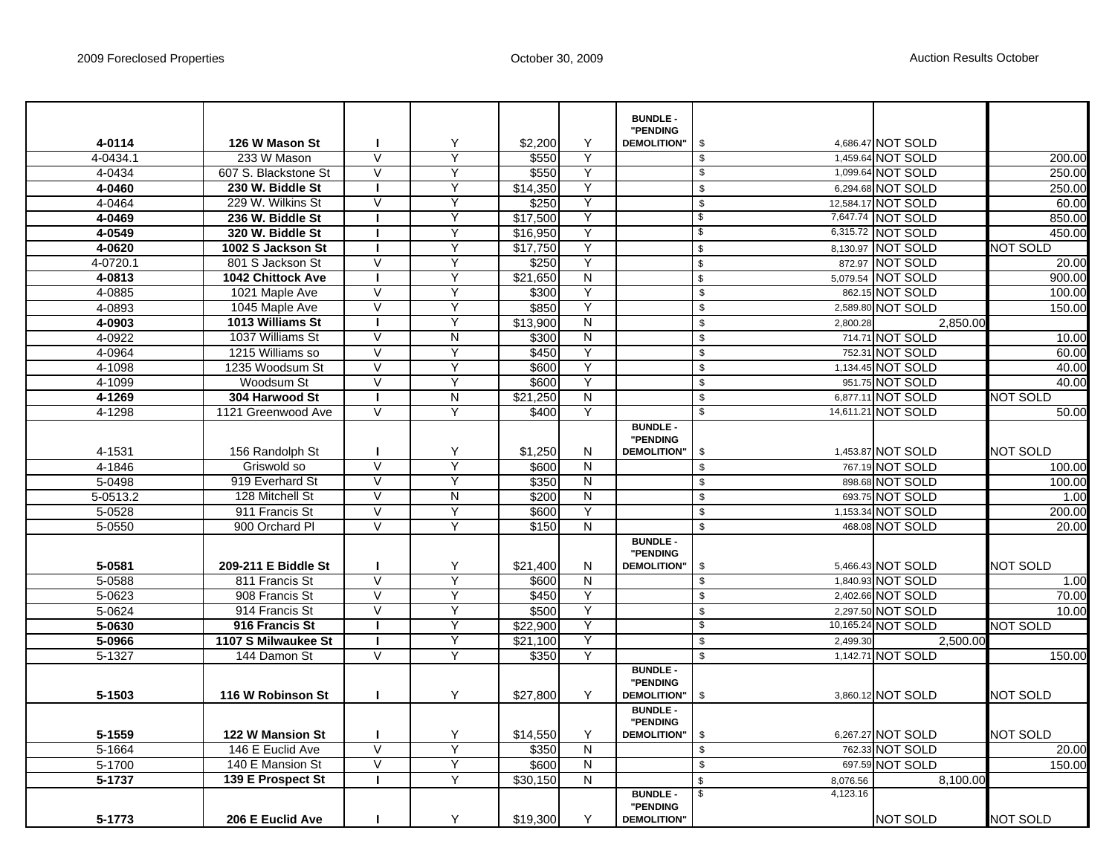|            |                      |                         |                |                      |                         | <b>BUNDLE -</b>             |                          |          |                    |                 |
|------------|----------------------|-------------------------|----------------|----------------------|-------------------------|-----------------------------|--------------------------|----------|--------------------|-----------------|
|            |                      |                         |                |                      |                         | "PENDING                    |                          |          |                    |                 |
| 4-0114     | 126 W Mason St       |                         | Υ              | \$2,200              | Υ                       | <b>DEMOLITION"</b>          | \$                       |          | 4,686.47 NOT SOLD  |                 |
| 4-0434.1   | 233 W Mason          | $\vee$                  | Ÿ              | \$550                | Y                       |                             | $\bullet$                |          | 1,459.64 NOT SOLD  | 200.00          |
| 4-0434     | 607 S. Blackstone St | $\vee$                  | Y              | \$550                | Y                       |                             | $\sqrt[6]{\frac{1}{2}}$  |          | 1,099.64 NOT SOLD  | 250.00          |
| 4-0460     | 230 W. Biddle St     |                         | Υ              | \$14,350             | Υ                       |                             | \$                       |          | 6,294.68 NOT SOLD  | 250.00          |
| 4-0464     | 229 W. Wilkins St    | $\vee$                  | Υ              | \$250                | Y                       |                             | $\mathsf{\$}$            |          | 12,584.17 NOT SOLD | 60.00           |
| 4-0469     | 236 W. Biddle St     |                         | Υ              | \$17,500             | Y                       |                             | \$                       |          | 7,647.74 NOT SOLD  | 850.00          |
| 4-0549     | 320 W. Biddle St     |                         | Y              | \$16,950             | Y                       |                             | \$                       |          | 6,315.72 NOT SOLD  | 450.00          |
| 4-0620     | 1002 S Jackson St    |                         | Y              | \$17,750             | Υ                       |                             | $\overline{\mathbf{S}}$  |          | 8,130.97 NOT SOLD  | NOT SOLD        |
| 4-0720.1   | 801 S Jackson St     | $\overline{V}$          | Υ              | \$250                | Y                       |                             | $\mathbb S$              |          | 872.97 NOT SOLD    | 20.00           |
| 4-0813     | 1042 Chittock Ave    |                         | Y              | $\overline{$}21,650$ | N                       |                             | $\,$                     |          | 5,079.54 NOT SOLD  | 900.00          |
| 4-0885     | 1021 Maple Ave       | $\vee$                  | Y              | \$300                | Ÿ                       |                             | $\mathfrak s$            |          | 862.15 NOT SOLD    | 100.00          |
| 4-0893     | 1045 Maple Ave       | $\vee$                  | Υ              | \$850                | Υ                       |                             | $\,$                     |          | 2,589.80 NOT SOLD  | 150.00          |
| 4-0903     | 1013 Williams St     | п                       | Y              | \$13,900             | $\overline{\mathsf{N}}$ |                             | $\sqrt[6]{\frac{1}{2}}$  | 2,800.28 | 2,850.00           |                 |
| 4-0922     | 1037 Williams St     | $\vee$                  | N              | \$300                | N                       |                             | $\bullet$                |          | 714.71 NOT SOLD    | 10.00           |
| 4-0964     | 1215 Williams so     | $\vee$                  | Υ              | \$450                | Y                       |                             | $\sqrt[6]{\frac{1}{2}}$  |          | 752.31 NOT SOLD    | 60.00           |
| 4-1098     | 1235 Woodsum St      | $\overline{\vee}$       | Y              | \$600                | Y                       |                             | $\sqrt{2}$               |          | 1,134.45 NOT SOLD  | 40.00           |
| 4-1099     | Woodsum St           | $\overline{\mathsf{v}}$ | Υ              | \$600                | Y                       |                             | $\bullet$                |          | 951.75 NOT SOLD    | 40.00           |
| 4-1269     | 304 Harwood St       |                         | $\overline{N}$ | \$21,250             | N                       |                             | $\mathfrak s$            |          | 6,877.11 NOT SOLD  | NOT SOLD        |
| 4-1298     | 1121 Greenwood Ave   | V                       | Y              | \$400                | Υ                       |                             | $\overline{\mathcal{E}}$ |          | 14,611.21 NOT SOLD | 50.00           |
|            |                      |                         |                |                      |                         | <b>BUNDLE -</b><br>"PENDING |                          |          |                    |                 |
| 4-1531     | 156 Randolph St      |                         | Υ              | \$1,250              | N                       | <b>DEMOLITION"</b>          | \$                       |          | 1,453.87 NOT SOLD  | NOT SOLD        |
| 4-1846     | Griswold so          | $\overline{\mathsf{v}}$ | Y              | \$600                | $\overline{\mathsf{N}}$ |                             | $\sqrt{2}$               |          | 767.19 NOT SOLD    | 100.00          |
| 5-0498     | 919 Everhard St      | $\vee$                  | Υ              | \$350                | ${\sf N}$               |                             | $\overline{\mathbf{S}}$  |          | 898.68 NOT SOLD    | 100.00          |
| 5-0513.2   | 128 Mitchell St      | $\overline{V}$          | $\overline{N}$ | \$200                | N                       |                             | $\sqrt{2}$               |          | 693.75 NOT SOLD    | 1.00            |
| 5-0528     | 911 Francis St       | V                       | Y              | \$600                | Y                       |                             | $\sqrt[6]{\frac{1}{2}}$  |          | 1,153.34 NOT SOLD  | 200.00          |
| 5-0550     | 900 Orchard Pl       | $\overline{\vee}$       | Ÿ              | \$150                | $\overline{\mathsf{N}}$ |                             | $\,$                     |          | 468.08 NOT SOLD    | 20.00           |
|            |                      |                         |                |                      |                         | <b>BUNDLE -</b><br>"PENDING |                          |          |                    |                 |
| 5-0581     | 209-211 E Biddle St  |                         | Υ              | \$21,400             | N                       | <b>DEMOLITION"</b>          | $\sqrt[6]{\frac{1}{2}}$  |          | 5,466.43 NOT SOLD  | <b>NOT SOLD</b> |
| 5-0588     | 811 Francis St       | $\vee$                  | Y              | \$600                | N                       |                             | $\overline{\mathbf{S}}$  |          | 1,840.93 NOT SOLD  | 1.00            |
| 5-0623     | 908 Francis St       | $\vee$                  | Y              | \$450                | Y                       |                             | $\sqrt[6]{\frac{1}{2}}$  |          | 2,402.66 NOT SOLD  | 70.00           |
| 5-0624     | 914 Francis St       | $\overline{\mathsf{v}}$ | Y              | \$500                | Y                       |                             | $\overline{\mathbf{S}}$  |          | 2,297.50 NOT SOLD  | 10.00           |
| 5-0630     | 916 Francis St       |                         | Y              | \$22,900             | Y                       |                             | $\overline{\mathbf{3}}$  |          | 10,165.24 NOT SOLD | NOT SOLD        |
| 5-0966     | 1107 S Milwaukee St  | Т.                      | Y              | \$21,100             | Υ                       |                             | $\mathfrak s$            | 2,499.30 | 2,500.00           |                 |
| $5 - 1327$ | 144 Damon St         | V                       |                | \$350                | Υ                       |                             | $\mathfrak s$            |          | 1,142.71 NOT SOLD  | 150.00          |
|            |                      |                         |                |                      |                         | <b>BUNDLE -</b><br>"PENDING |                          |          |                    |                 |
| 5-1503     | 116 W Robinson St    |                         | Υ              | \$27,800             | Υ                       | <b>DEMOLITION"</b>          | \$                       |          | 3,860.12 NOT SOLD  | NOT SOLD        |
|            |                      |                         |                |                      |                         | <b>BUNDLE -</b>             |                          |          |                    |                 |
|            |                      |                         |                |                      |                         | "PENDING                    |                          |          |                    |                 |
| 5-1559     | 122 W Mansion St     |                         | Υ              | \$14,550             | Y                       | <b>DEMOLITION"</b>          | \$                       |          | 6,267.27 NOT SOLD  | NOT SOLD        |
| 5-1664     | 146 E Euclid Ave     | $\overline{V}$          | Y              | \$350                | $\overline{\mathsf{N}}$ |                             | $\,$                     |          | 762.33 NOT SOLD    | 20.00           |
| 5-1700     | 140 E Mansion St     | V                       | Y              | \$600                | N                       |                             | $\bullet$                |          | 697.59 NOT SOLD    | 150.00          |
| 5-1737     | 139 E Prospect St    |                         | Y              | \$30,150             | N                       |                             | $\mathbb{S}$             | 8,076.56 | 8.100.00           |                 |
|            |                      |                         |                |                      |                         | <b>BUNDLE -</b><br>"PENDING | $\sqrt{3}$               | 4,123.16 |                    |                 |
| 5-1773     | 206 E Euclid Ave     |                         | Y              | \$19,300             | Υ                       | <b>DEMOLITION"</b>          |                          |          | <b>NOT SOLD</b>    | <b>NOT SOLD</b> |